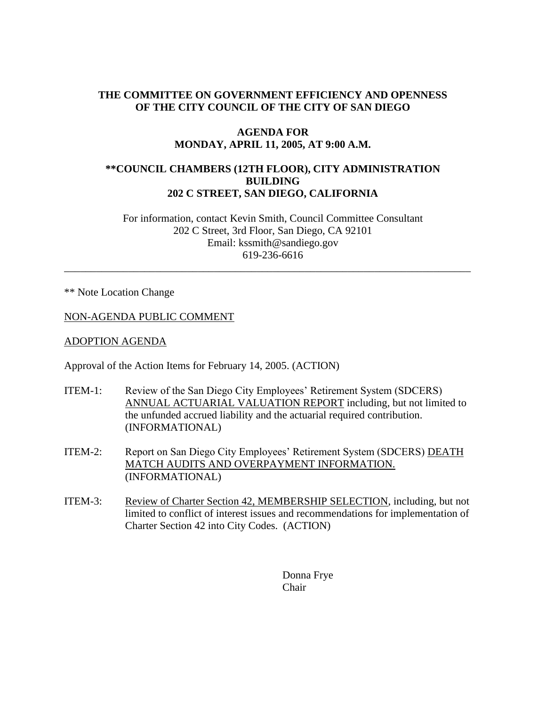# **THE COMMITTEE ON GOVERNMENT EFFICIENCY AND OPENNESS OF THE CITY COUNCIL OF THE CITY OF SAN DIEGO**

### **AGENDA FOR MONDAY, APRIL 11, 2005, AT 9:00 A.M.**

### **\*\*COUNCIL CHAMBERS (12TH FLOOR), CITY ADMINISTRATION BUILDING 202 C STREET, SAN DIEGO, CALIFORNIA**

For information, contact Kevin Smith, Council Committee Consultant 202 C Street, 3rd Floor, San Diego, CA 92101 Email: kssmith@sandiego.gov 619-236-6616

\_\_\_\_\_\_\_\_\_\_\_\_\_\_\_\_\_\_\_\_\_\_\_\_\_\_\_\_\_\_\_\_\_\_\_\_\_\_\_\_\_\_\_\_\_\_\_\_\_\_\_\_\_\_\_\_\_\_\_\_\_\_\_\_\_\_\_\_\_\_\_\_\_\_\_\_

\*\* Note Location Change

#### NON-AGENDA PUBLIC COMMENT

#### ADOPTION AGENDA

Approval of the Action Items for February 14, 2005. (ACTION)

- ITEM-1: Review of the San Diego City Employees' Retirement System (SDCERS) ANNUAL ACTUARIAL VALUATION REPORT including, but not limited to the unfunded accrued liability and the actuarial required contribution. (INFORMATIONAL)
- ITEM-2: Report on San Diego City Employees' Retirement System (SDCERS) DEATH MATCH AUDITS AND OVERPAYMENT INFORMATION. (INFORMATIONAL)
- ITEM-3: Review of Charter Section 42, MEMBERSHIP SELECTION, including, but not limited to conflict of interest issues and recommendations for implementation of Charter Section 42 into City Codes. (ACTION)

Donna Frye Chair